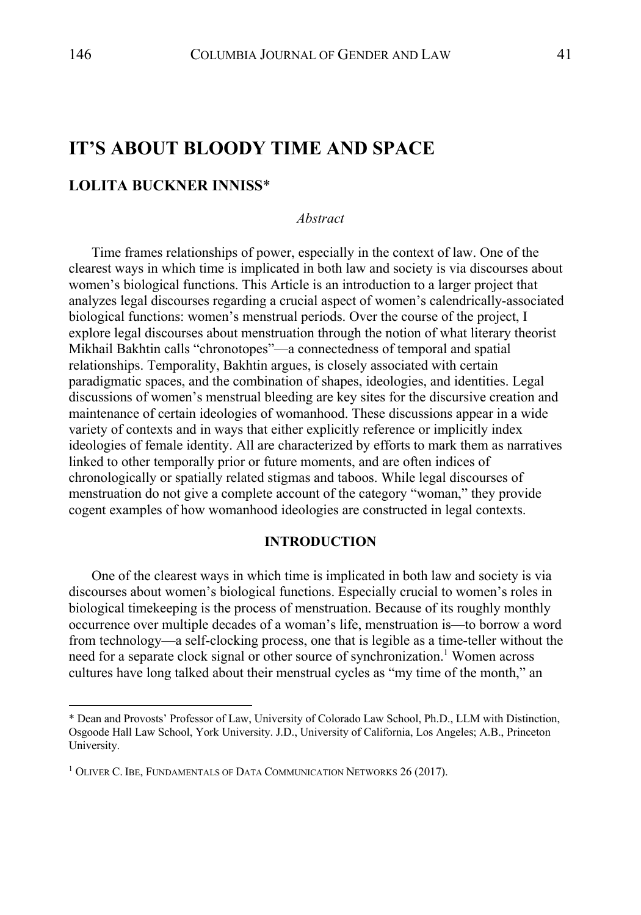# **IT'S ABOUT BLOODY TIME AND SPACE**

## **LOLITA BUCKNER INNISS**\*

*Abstract*

Time frames relationships of power, especially in the context of law. One of the clearest ways in which time is implicated in both law and society is via discourses about women's biological functions. This Article is an introduction to a larger project that analyzes legal discourses regarding a crucial aspect of women's calendrically-associated biological functions: women's menstrual periods. Over the course of the project, I explore legal discourses about menstruation through the notion of what literary theorist Mikhail Bakhtin calls "chronotopes"—a connectedness of temporal and spatial relationships. Temporality, Bakhtin argues, is closely associated with certain paradigmatic spaces, and the combination of shapes, ideologies, and identities. Legal discussions of women's menstrual bleeding are key sites for the discursive creation and maintenance of certain ideologies of womanhood. These discussions appear in a wide variety of contexts and in ways that either explicitly reference or implicitly index ideologies of female identity. All are characterized by efforts to mark them as narratives linked to other temporally prior or future moments, and are often indices of chronologically or spatially related stigmas and taboos. While legal discourses of menstruation do not give a complete account of the category "woman," they provide cogent examples of how womanhood ideologies are constructed in legal contexts.

## **INTRODUCTION**

One of the clearest ways in which time is implicated in both law and society is via discourses about women's biological functions. Especially crucial to women's roles in biological timekeeping is the process of menstruation. Because of its roughly monthly occurrence over multiple decades of a woman's life, menstruation is—to borrow a word from technology—a self-clocking process, one that is legible as a time-teller without the need for a separate clock signal or other source of synchronization.<sup>1</sup> Women across cultures have long talked about their menstrual cycles as "my time of the month," an

<sup>\*</sup> Dean and Provosts' Professor of Law, University of Colorado Law School, Ph.D., LLM with Distinction, Osgoode Hall Law School, York University. J.D., University of California, Los Angeles; A.B., Princeton University.

<sup>&</sup>lt;sup>1</sup> OLIVER C. IBE, FUNDAMENTALS OF DATA COMMUNICATION NETWORKS 26 (2017).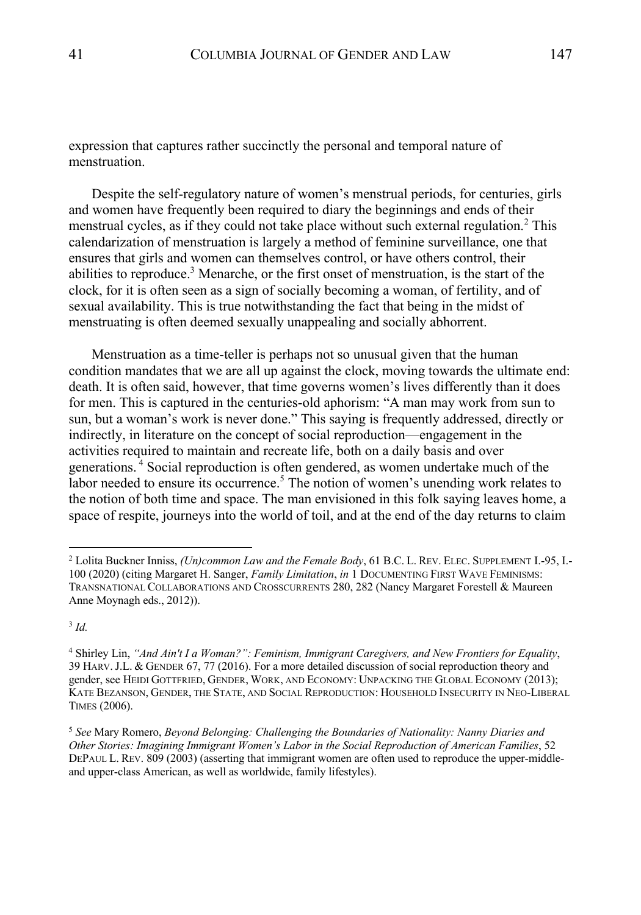expression that captures rather succinctly the personal and temporal nature of menstruation.

Despite the self-regulatory nature of women's menstrual periods, for centuries, girls and women have frequently been required to diary the beginnings and ends of their menstrual cycles, as if they could not take place without such external regulation.<sup>2</sup> This calendarization of menstruation is largely a method of feminine surveillance, one that ensures that girls and women can themselves control, or have others control, their abilities to reproduce.<sup>3</sup> Menarche, or the first onset of menstruation, is the start of the clock, for it is often seen as a sign of socially becoming a woman, of fertility, and of sexual availability. This is true notwithstanding the fact that being in the midst of menstruating is often deemed sexually unappealing and socially abhorrent.

Menstruation as a time-teller is perhaps not so unusual given that the human condition mandates that we are all up against the clock, moving towards the ultimate end: death. It is often said, however, that time governs women's lives differently than it does for men. This is captured in the centuries-old aphorism: "A man may work from sun to sun, but a woman's work is never done." This saying is frequently addressed, directly or indirectly, in literature on the concept of social reproduction—engagement in the activities required to maintain and recreate life, both on a daily basis and over generations.<sup>4</sup> Social reproduction is often gendered, as women undertake much of the labor needed to ensure its occurrence.<sup>5</sup> The notion of women's unending work relates to the notion of both time and space. The man envisioned in this folk saying leaves home, a space of respite, journeys into the world of toil, and at the end of the day returns to claim

<sup>3</sup> *Id.*

<sup>2</sup> Lolita Buckner Inniss, *(Un)common Law and the Female Body*, 61 B.C. L. REV. ELEC. SUPPLEMENT I.-95, I.- 100 (2020) (citing Margaret H. Sanger, *Family Limitation*, *in* 1 DOCUMENTING FIRST WAVE FEMINISMS: TRANSNATIONAL COLLABORATIONS AND CROSSCURRENTS 280, 282 (Nancy Margaret Forestell & Maureen Anne Moynagh eds., 2012)).

<sup>4</sup> Shirley Lin, *"And Ain't I a Woman?": Feminism, Immigrant Caregivers, and New Frontiers for Equality*, 39 HARV.J.L. & GENDER 67, 77 (2016). For a more detailed discussion of social reproduction theory and gender, see HEIDI GOTTFRIED, GENDER, WORK, AND ECONOMY: UNPACKING THE GLOBAL ECONOMY (2013); KATE BEZANSON, GENDER, THE STATE, AND SOCIAL REPRODUCTION: HOUSEHOLD INSECURITY IN NEO-LIBERAL TIMES (2006).

<sup>5</sup> *See* Mary Romero, *Beyond Belonging: Challenging the Boundaries of Nationality: Nanny Diaries and Other Stories: Imagining Immigrant Women's Labor in the Social Reproduction of American Families*, 52 DEPAUL L. REV. 809 (2003) (asserting that immigrant women are often used to reproduce the upper-middleand upper-class American, as well as worldwide, family lifestyles).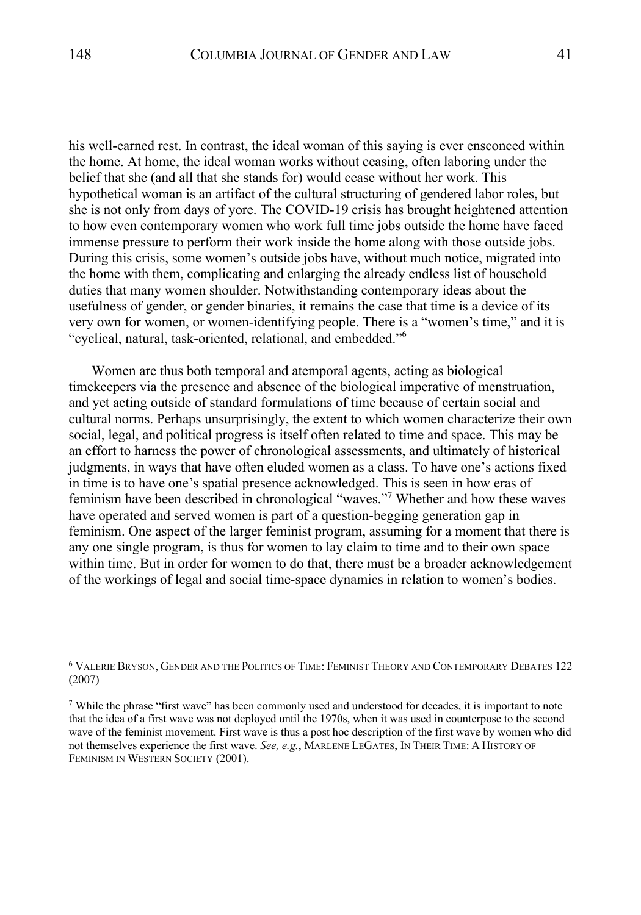his well-earned rest. In contrast, the ideal woman of this saying is ever ensconced within the home. At home, the ideal woman works without ceasing, often laboring under the belief that she (and all that she stands for) would cease without her work. This hypothetical woman is an artifact of the cultural structuring of gendered labor roles, but she is not only from days of yore. The COVID-19 crisis has brought heightened attention to how even contemporary women who work full time jobs outside the home have faced immense pressure to perform their work inside the home along with those outside jobs. During this crisis, some women's outside jobs have, without much notice, migrated into the home with them, complicating and enlarging the already endless list of household duties that many women shoulder. Notwithstanding contemporary ideas about the usefulness of gender, or gender binaries, it remains the case that time is a device of its very own for women, or women-identifying people. There is a "women's time," and it is "cyclical, natural, task-oriented, relational, and embedded."6

Women are thus both temporal and atemporal agents, acting as biological timekeepers via the presence and absence of the biological imperative of menstruation, and yet acting outside of standard formulations of time because of certain social and cultural norms. Perhaps unsurprisingly, the extent to which women characterize their own social, legal, and political progress is itself often related to time and space. This may be an effort to harness the power of chronological assessments, and ultimately of historical judgments, in ways that have often eluded women as a class. To have one's actions fixed in time is to have one's spatial presence acknowledged. This is seen in how eras of feminism have been described in chronological "waves."<sup>7</sup> Whether and how these waves have operated and served women is part of a question-begging generation gap in feminism. One aspect of the larger feminist program, assuming for a moment that there is any one single program, is thus for women to lay claim to time and to their own space within time. But in order for women to do that, there must be a broader acknowledgement of the workings of legal and social time-space dynamics in relation to women's bodies.

<sup>6</sup> VALERIE BRYSON, GENDER AND THE POLITICS OF TIME: FEMINIST THEORY AND CONTEMPORARY DEBATES 122 (2007)

 $7$  While the phrase "first wave" has been commonly used and understood for decades, it is important to note that the idea of a first wave was not deployed until the 1970s, when it was used in counterpose to the second wave of the feminist movement. First wave is thus a post hoc description of the first wave by women who did not themselves experience the first wave. *See, e.g.*, MARLENE LEGATES, IN THEIR TIME: A HISTORY OF FEMINISM IN WESTERN SOCIETY (2001).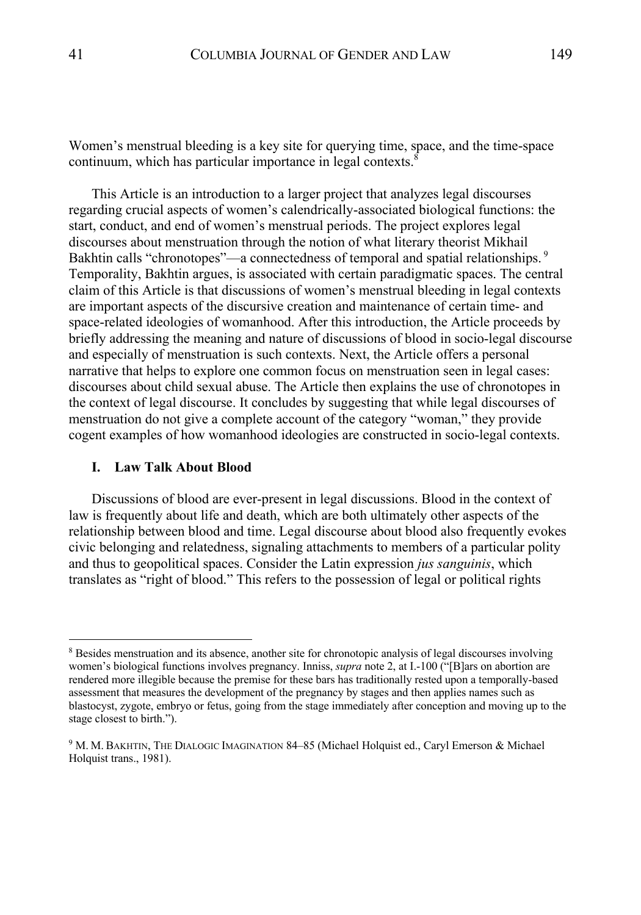Women's menstrual bleeding is a key site for querying time, space, and the time-space continuum, which has particular importance in legal contexts.

This Article is an introduction to a larger project that analyzes legal discourses regarding crucial aspects of women's calendrically-associated biological functions: the start, conduct, and end of women's menstrual periods. The project explores legal discourses about menstruation through the notion of what literary theorist Mikhail Bakhtin calls "chronotopes"—a connectedness of temporal and spatial relationships.<sup>9</sup> Temporality, Bakhtin argues, is associated with certain paradigmatic spaces. The central claim of this Article is that discussions of women's menstrual bleeding in legal contexts are important aspects of the discursive creation and maintenance of certain time- and space-related ideologies of womanhood. After this introduction, the Article proceeds by briefly addressing the meaning and nature of discussions of blood in socio-legal discourse and especially of menstruation is such contexts. Next, the Article offers a personal narrative that helps to explore one common focus on menstruation seen in legal cases: discourses about child sexual abuse. The Article then explains the use of chronotopes in the context of legal discourse. It concludes by suggesting that while legal discourses of menstruation do not give a complete account of the category "woman," they provide cogent examples of how womanhood ideologies are constructed in socio-legal contexts.

#### **I. Law Talk About Blood**

Discussions of blood are ever-present in legal discussions. Blood in the context of law is frequently about life and death, which are both ultimately other aspects of the relationship between blood and time. Legal discourse about blood also frequently evokes civic belonging and relatedness, signaling attachments to members of a particular polity and thus to geopolitical spaces. Consider the Latin expression *jus sanguinis*, which translates as "right of blood." This refers to the possession of legal or political rights

<sup>&</sup>lt;sup>8</sup> Besides menstruation and its absence, another site for chronotopic analysis of legal discourses involving women's biological functions involves pregnancy. Inniss, *supra* note 2, at I.-100 ("[B]ars on abortion are rendered more illegible because the premise for these bars has traditionally rested upon a temporally-based assessment that measures the development of the pregnancy by stages and then applies names such as blastocyst, zygote, embryo or fetus, going from the stage immediately after conception and moving up to the stage closest to birth.").

<sup>&</sup>lt;sup>9</sup> M. M. BAKHTIN, THE DIALOGIC IMAGINATION 84-85 (Michael Holquist ed., Caryl Emerson & Michael Holquist trans., 1981).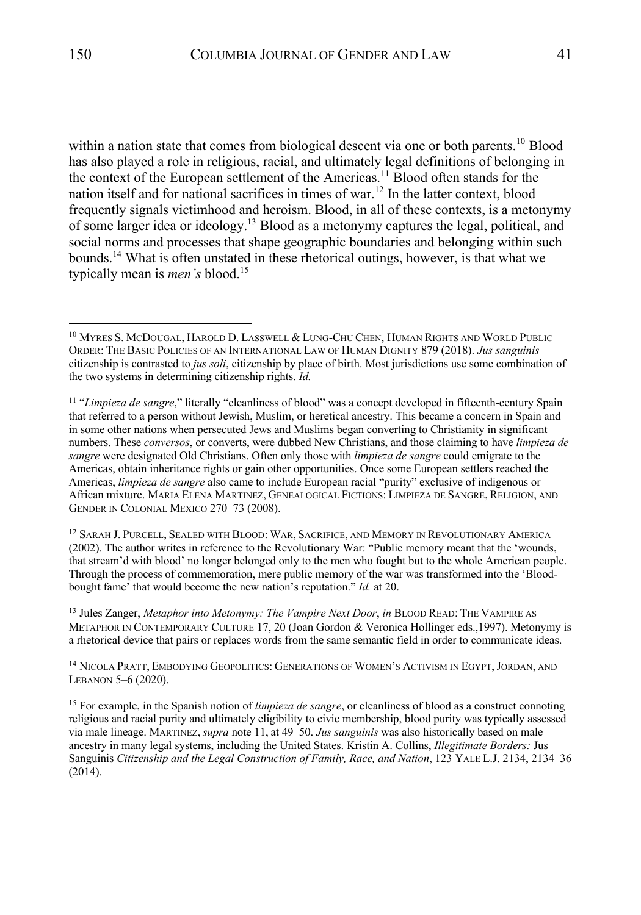within a nation state that comes from biological descent via one or both parents.<sup>10</sup> Blood has also played a role in religious, racial, and ultimately legal definitions of belonging in the context of the European settlement of the Americas.<sup>11</sup> Blood often stands for the nation itself and for national sacrifices in times of war.<sup>12</sup> In the latter context, blood frequently signals victimhood and heroism. Blood, in all of these contexts, is a metonymy of some larger idea or ideology.<sup>13</sup> Blood as a metonymy captures the legal, political, and social norms and processes that shape geographic boundaries and belonging within such bounds.<sup>14</sup> What is often unstated in these rhetorical outings, however, is that what we typically mean is *men's* blood.15

<sup>12</sup> SARAH J. PURCELL, SEALED WITH BLOOD: WAR, SACRIFICE, AND MEMORY IN REVOLUTIONARY AMERICA (2002). The author writes in reference to the Revolutionary War: "Public memory meant that the 'wounds, that stream'd with blood' no longer belonged only to the men who fought but to the whole American people. Through the process of commemoration, mere public memory of the war was transformed into the 'Bloodbought fame' that would become the new nation's reputation." *Id.* at 20.

<sup>13</sup> Jules Zanger, *Metaphor into Metonymy: The Vampire Next Door*, *in* BLOOD READ: THE VAMPIRE AS METAPHOR IN CONTEMPORARY CULTURE 17, 20 (Joan Gordon & Veronica Hollinger eds.,1997). Metonymy is a rhetorical device that pairs or replaces words from the same semantic field in order to communicate ideas.

<sup>14</sup> NICOLA PRATT, EMBODYING GEOPOLITICS: GENERATIONS OF WOMEN'S ACTIVISM IN EGYPT,JORDAN, AND LEBANON 5–6 (2020).

<sup>15</sup> For example, in the Spanish notion of *limpieza de sangre*, or cleanliness of blood as a construct connoting religious and racial purity and ultimately eligibility to civic membership, blood purity was typically assessed via male lineage. MARTINEZ,*supra* note 11, at 49–50. *Jus sanguinis* was also historically based on male ancestry in many legal systems, including the United States. Kristin A. Collins, *Illegitimate Borders:* Jus Sanguinis *Citizenship and the Legal Construction of Family, Race, and Nation*, 123 YALE L.J. 2134, 2134–36 (2014).

<sup>&</sup>lt;sup>10</sup> MYRES S. MCDOUGAL, HAROLD D. LASSWELL & LUNG-CHU CHEN, HUMAN RIGHTS AND WORLD PUBLIC ORDER: THE BASIC POLICIES OF AN INTERNATIONAL LAW OF HUMAN DIGNITY 879 (2018). *Jus sanguinis* citizenship is contrasted to *jus soli*, citizenship by place of birth. Most jurisdictions use some combination of the two systems in determining citizenship rights. *Id.*

<sup>11</sup> "*Limpieza de sangre*," literally "cleanliness of blood" was a concept developed in fifteenth-century Spain that referred to a person without Jewish, Muslim, or heretical ancestry. This became a concern in Spain and in some other nations when persecuted Jews and Muslims began converting to Christianity in significant numbers. These *conversos*, or converts, were dubbed New Christians, and those claiming to have *limpieza de sangre* were designated Old Christians. Often only those with *limpieza de sangre* could emigrate to the Americas, obtain inheritance rights or gain other opportunities. Once some European settlers reached the Americas, *limpieza de sangre* also came to include European racial "purity" exclusive of indigenous or African mixture. MARIA ELENA MARTINEZ, GENEALOGICAL FICTIONS: LIMPIEZA DE SANGRE, RELIGION, AND GENDER IN COLONIAL MEXICO 270–73 (2008).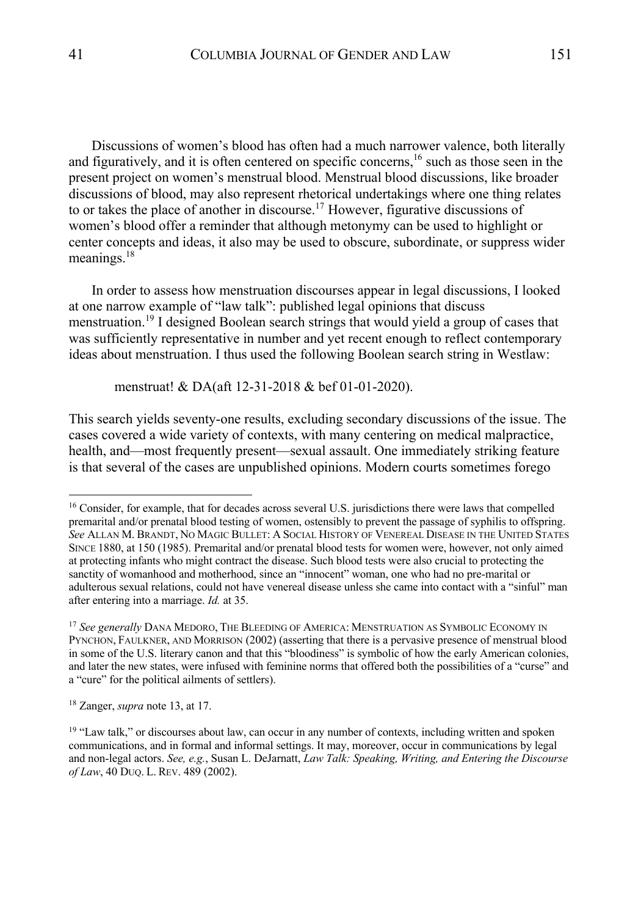Discussions of women's blood has often had a much narrower valence, both literally and figuratively, and it is often centered on specific concerns,<sup>16</sup> such as those seen in the present project on women's menstrual blood. Menstrual blood discussions, like broader discussions of blood, may also represent rhetorical undertakings where one thing relates to or takes the place of another in discourse.<sup>17</sup> However, figurative discussions of women's blood offer a reminder that although metonymy can be used to highlight or center concepts and ideas, it also may be used to obscure, subordinate, or suppress wider meanings.<sup>18</sup>

In order to assess how menstruation discourses appear in legal discussions, I looked at one narrow example of "law talk": published legal opinions that discuss menstruation.<sup>19</sup> I designed Boolean search strings that would yield a group of cases that was sufficiently representative in number and yet recent enough to reflect contemporary ideas about menstruation. I thus used the following Boolean search string in Westlaw:

menstruat! & DA(aft 12-31-2018 & bef 01-01-2020).

This search yields seventy-one results, excluding secondary discussions of the issue. The cases covered a wide variety of contexts, with many centering on medical malpractice, health, and—most frequently present—sexual assault. One immediately striking feature is that several of the cases are unpublished opinions. Modern courts sometimes forego

<sup>18</sup> Zanger, *supra* note 13, at 17.

<sup>&</sup>lt;sup>16</sup> Consider, for example, that for decades across several U.S. jurisdictions there were laws that compelled premarital and/or prenatal blood testing of women, ostensibly to prevent the passage of syphilis to offspring. *See* ALLAN M. BRANDT, NO MAGIC BULLET: A SOCIAL HISTORY OF VENEREAL DISEASE IN THE UNITED STATES SINCE 1880, at 150 (1985). Premarital and/or prenatal blood tests for women were, however, not only aimed at protecting infants who might contract the disease. Such blood tests were also crucial to protecting the sanctity of womanhood and motherhood, since an "innocent" woman, one who had no pre-marital or adulterous sexual relations, could not have venereal disease unless she came into contact with a "sinful" man after entering into a marriage. *Id.* at 35.

<sup>17</sup> *See generally* DANA MEDORO, THE BLEEDING OF AMERICA: MENSTRUATION AS SYMBOLIC ECONOMY IN PYNCHON, FAULKNER, AND MORRISON (2002) (asserting that there is a pervasive presence of menstrual blood in some of the U.S. literary canon and that this "bloodiness" is symbolic of how the early American colonies, and later the new states, were infused with feminine norms that offered both the possibilities of a "curse" and a "cure" for the political ailments of settlers).

<sup>&</sup>lt;sup>19</sup> "Law talk," or discourses about law, can occur in any number of contexts, including written and spoken communications, and in formal and informal settings. It may, moreover, occur in communications by legal and non-legal actors. *See, e.g.*, Susan L. DeJarnatt, *Law Talk: Speaking, Writing, and Entering the Discourse of Law*, 40 DUQ. L. REV. 489 (2002).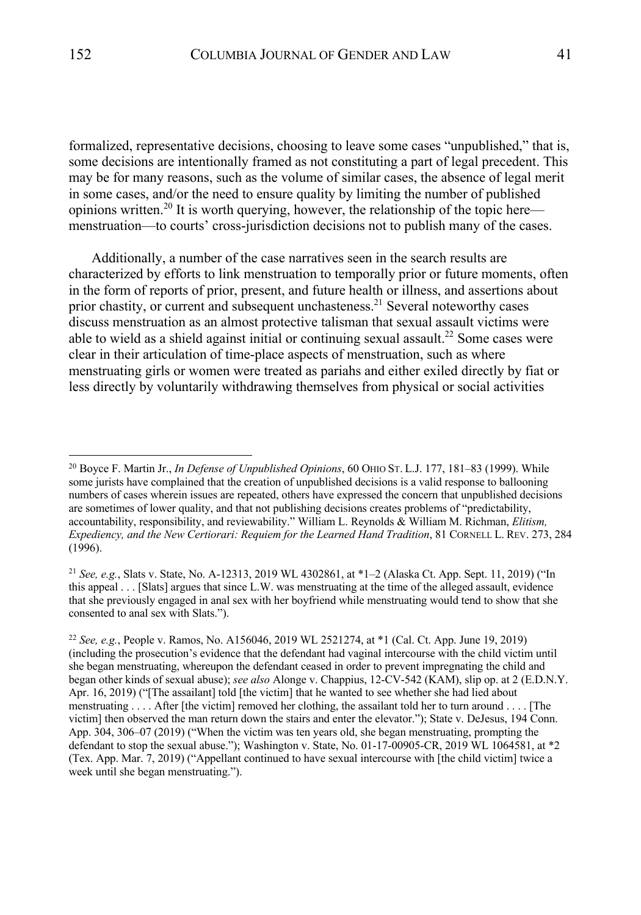formalized, representative decisions, choosing to leave some cases "unpublished," that is, some decisions are intentionally framed as not constituting a part of legal precedent. This may be for many reasons, such as the volume of similar cases, the absence of legal merit in some cases, and/or the need to ensure quality by limiting the number of published opinions written.<sup>20</sup> It is worth querying, however, the relationship of the topic here menstruation––to courts' cross-jurisdiction decisions not to publish many of the cases.

Additionally, a number of the case narratives seen in the search results are characterized by efforts to link menstruation to temporally prior or future moments, often in the form of reports of prior, present, and future health or illness, and assertions about prior chastity, or current and subsequent unchasteness.<sup>21</sup> Several noteworthy cases discuss menstruation as an almost protective talisman that sexual assault victims were able to wield as a shield against initial or continuing sexual assault.<sup>22</sup> Some cases were clear in their articulation of time-place aspects of menstruation, such as where menstruating girls or women were treated as pariahs and either exiled directly by fiat or less directly by voluntarily withdrawing themselves from physical or social activities

<sup>21</sup> *See, e.g.*, Slats v. State, No. A-12313, 2019 WL 4302861, at \*1–2 (Alaska Ct. App. Sept. 11, 2019) ("In this appeal . . . [Slats] argues that since L.W. was menstruating at the time of the alleged assault, evidence that she previously engaged in anal sex with her boyfriend while menstruating would tend to show that she consented to anal sex with Slats.").

<sup>20</sup> Boyce F. Martin Jr., *In Defense of Unpublished Opinions*, 60 OHIO ST. L.J. 177, 181–83 (1999). While some jurists have complained that the creation of unpublished decisions is a valid response to ballooning numbers of cases wherein issues are repeated, others have expressed the concern that unpublished decisions are sometimes of lower quality, and that not publishing decisions creates problems of "predictability, accountability, responsibility, and reviewability." William L. Reynolds & William M. Richman, *Elitism, Expediency, and the New Certiorari: Requiem for the Learned Hand Tradition*, 81 CORNELL L. REV. 273, 284 (1996).

<sup>22</sup> *See, e.g.*, People v. Ramos, No. A156046, 2019 WL 2521274, at \*1 (Cal. Ct. App. June 19, 2019) (including the prosecution's evidence that the defendant had vaginal intercourse with the child victim until she began menstruating, whereupon the defendant ceased in order to prevent impregnating the child and began other kinds of sexual abuse); *see also* Alonge v. Chappius, 12-CV-542 (KAM), slip op. at 2 (E.D.N.Y. Apr. 16, 2019) ("[The assailant] told [the victim] that he wanted to see whether she had lied about menstruating . . . . After [the victim] removed her clothing, the assailant told her to turn around . . . . [The victim] then observed the man return down the stairs and enter the elevator."); State v. DeJesus, 194 Conn. App. 304, 306–07 (2019) ("When the victim was ten years old, she began menstruating, prompting the defendant to stop the sexual abuse."); Washington v. State, No. 01-17-00905-CR, 2019 WL 1064581, at \*2 (Tex. App. Mar. 7, 2019) ("Appellant continued to have sexual intercourse with [the child victim] twice a week until she began menstruating.").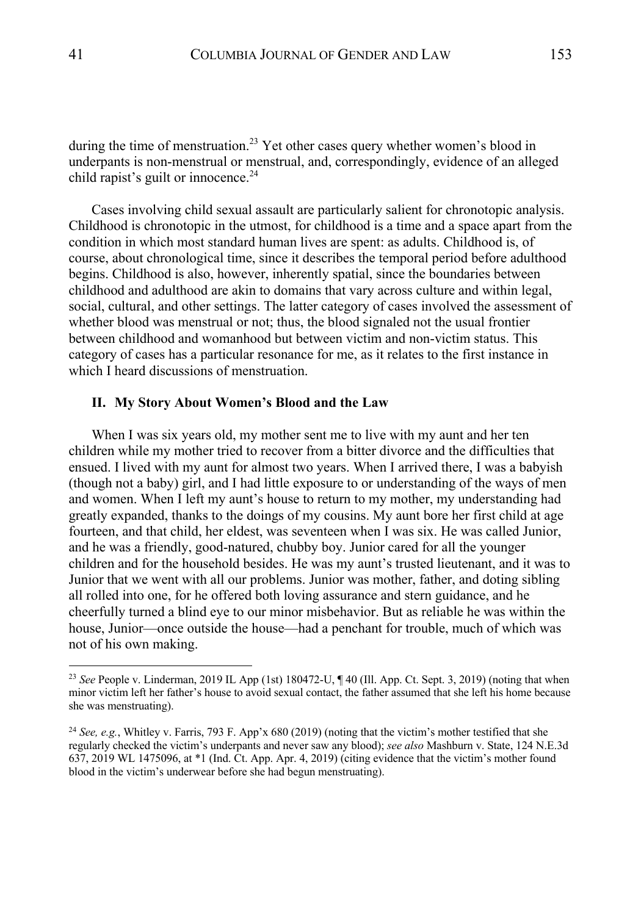during the time of menstruation.<sup>23</sup> Yet other cases query whether women's blood in underpants is non-menstrual or menstrual, and, correspondingly, evidence of an alleged child rapist's guilt or innocence. $^{24}$ 

Cases involving child sexual assault are particularly salient for chronotopic analysis. Childhood is chronotopic in the utmost, for childhood is a time and a space apart from the condition in which most standard human lives are spent: as adults. Childhood is, of course, about chronological time, since it describes the temporal period before adulthood begins. Childhood is also, however, inherently spatial, since the boundaries between childhood and adulthood are akin to domains that vary across culture and within legal, social, cultural, and other settings. The latter category of cases involved the assessment of whether blood was menstrual or not; thus, the blood signaled not the usual frontier between childhood and womanhood but between victim and non-victim status. This category of cases has a particular resonance for me, as it relates to the first instance in which I heard discussions of menstruation.

#### **II. My Story About Women's Blood and the Law**

When I was six years old, my mother sent me to live with my aunt and her ten children while my mother tried to recover from a bitter divorce and the difficulties that ensued. I lived with my aunt for almost two years. When I arrived there, I was a babyish (though not a baby) girl, and I had little exposure to or understanding of the ways of men and women. When I left my aunt's house to return to my mother, my understanding had greatly expanded, thanks to the doings of my cousins. My aunt bore her first child at age fourteen, and that child, her eldest, was seventeen when I was six. He was called Junior, and he was a friendly, good-natured, chubby boy. Junior cared for all the younger children and for the household besides. He was my aunt's trusted lieutenant, and it was to Junior that we went with all our problems. Junior was mother, father, and doting sibling all rolled into one, for he offered both loving assurance and stern guidance, and he cheerfully turned a blind eye to our minor misbehavior. But as reliable he was within the house, Junior—once outside the house—had a penchant for trouble, much of which was not of his own making.

<sup>23</sup> *See* People v. Linderman, 2019 IL App (1st) 180472-U, ¶ 40 (Ill. App. Ct. Sept. 3, 2019) (noting that when minor victim left her father's house to avoid sexual contact, the father assumed that she left his home because she was menstruating).

<sup>24</sup> *See, e.g.*, Whitley v. Farris, 793 F. App'x 680 (2019) (noting that the victim's mother testified that she regularly checked the victim's underpants and never saw any blood); *see also* Mashburn v. State, 124 N.E.3d 637, 2019 WL 1475096, at \*1 (Ind. Ct. App. Apr. 4, 2019) (citing evidence that the victim's mother found blood in the victim's underwear before she had begun menstruating).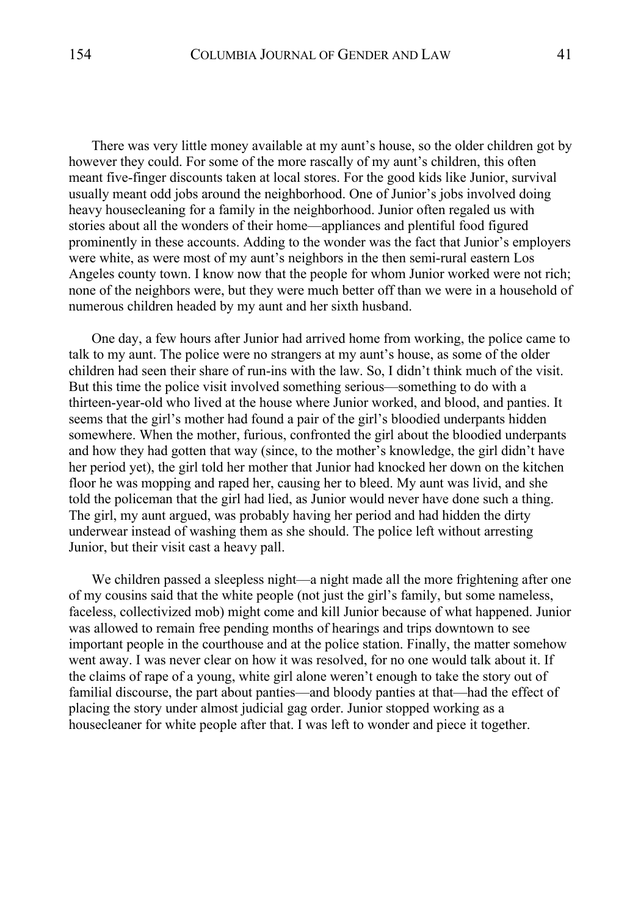There was very little money available at my aunt's house, so the older children got by however they could. For some of the more rascally of my aunt's children, this often meant five-finger discounts taken at local stores. For the good kids like Junior, survival usually meant odd jobs around the neighborhood. One of Junior's jobs involved doing heavy housecleaning for a family in the neighborhood. Junior often regaled us with stories about all the wonders of their home—appliances and plentiful food figured prominently in these accounts. Adding to the wonder was the fact that Junior's employers were white, as were most of my aunt's neighbors in the then semi-rural eastern Los Angeles county town. I know now that the people for whom Junior worked were not rich; none of the neighbors were, but they were much better off than we were in a household of numerous children headed by my aunt and her sixth husband.

One day, a few hours after Junior had arrived home from working, the police came to talk to my aunt. The police were no strangers at my aunt's house, as some of the older children had seen their share of run-ins with the law. So, I didn't think much of the visit. But this time the police visit involved something serious—something to do with a thirteen-year-old who lived at the house where Junior worked, and blood, and panties. It seems that the girl's mother had found a pair of the girl's bloodied underpants hidden somewhere. When the mother, furious, confronted the girl about the bloodied underpants and how they had gotten that way (since, to the mother's knowledge, the girl didn't have her period yet), the girl told her mother that Junior had knocked her down on the kitchen floor he was mopping and raped her, causing her to bleed. My aunt was livid, and she told the policeman that the girl had lied, as Junior would never have done such a thing. The girl, my aunt argued, was probably having her period and had hidden the dirty underwear instead of washing them as she should. The police left without arresting Junior, but their visit cast a heavy pall.

We children passed a sleepless night—a night made all the more frightening after one of my cousins said that the white people (not just the girl's family, but some nameless, faceless, collectivized mob) might come and kill Junior because of what happened. Junior was allowed to remain free pending months of hearings and trips downtown to see important people in the courthouse and at the police station. Finally, the matter somehow went away. I was never clear on how it was resolved, for no one would talk about it. If the claims of rape of a young, white girl alone weren't enough to take the story out of familial discourse, the part about panties—and bloody panties at that—had the effect of placing the story under almost judicial gag order. Junior stopped working as a housecleaner for white people after that. I was left to wonder and piece it together.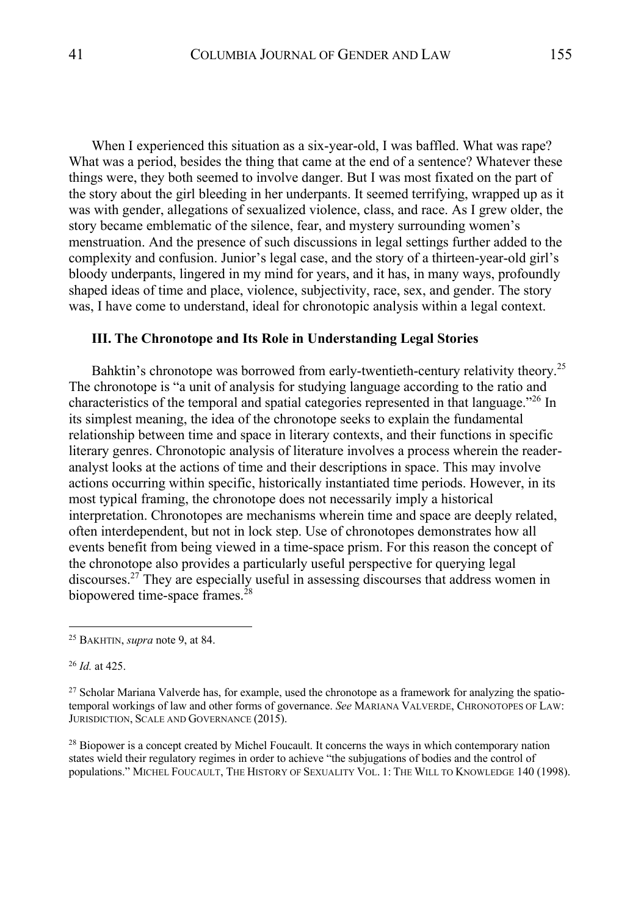When I experienced this situation as a six-year-old, I was baffled. What was rape? What was a period, besides the thing that came at the end of a sentence? Whatever these things were, they both seemed to involve danger. But I was most fixated on the part of the story about the girl bleeding in her underpants. It seemed terrifying, wrapped up as it was with gender, allegations of sexualized violence, class, and race. As I grew older, the story became emblematic of the silence, fear, and mystery surrounding women's menstruation. And the presence of such discussions in legal settings further added to the complexity and confusion. Junior's legal case, and the story of a thirteen-year-old girl's bloody underpants, lingered in my mind for years, and it has, in many ways, profoundly shaped ideas of time and place, violence, subjectivity, race, sex, and gender. The story was, I have come to understand, ideal for chronotopic analysis within a legal context.

#### **III. The Chronotope and Its Role in Understanding Legal Stories**

Bahktin's chronotope was borrowed from early-twentieth-century relativity theory.<sup>25</sup> The chronotope is "a unit of analysis for studying language according to the ratio and characteristics of the temporal and spatial categories represented in that language."<sup>26</sup> In its simplest meaning, the idea of the chronotope seeks to explain the fundamental relationship between time and space in literary contexts, and their functions in specific literary genres. Chronotopic analysis of literature involves a process wherein the readeranalyst looks at the actions of time and their descriptions in space. This may involve actions occurring within specific, historically instantiated time periods. However, in its most typical framing, the chronotope does not necessarily imply a historical interpretation. Chronotopes are mechanisms wherein time and space are deeply related, often interdependent, but not in lock step. Use of chronotopes demonstrates how all events benefit from being viewed in a time-space prism. For this reason the concept of the chronotope also provides a particularly useful perspective for querying legal discourses.27 They are especially useful in assessing discourses that address women in biopowered time-space frames.<sup>28</sup>

<sup>26</sup> *Id.* at 425.

<sup>28</sup> Biopower is a concept created by Michel Foucault. It concerns the ways in which contemporary nation states wield their regulatory regimes in order to achieve "the subjugations of bodies and the control of populations." MICHEL FOUCAULT, THE HISTORY OF SEXUALITY VOL. 1: THE WILL TO KNOWLEDGE 140 (1998).

<sup>25</sup> BAKHTIN, *supra* note 9, at 84.

<sup>&</sup>lt;sup>27</sup> Scholar Mariana Valverde has, for example, used the chronotope as a framework for analyzing the spatiotemporal workings of law and other forms of governance. *See* MARIANA VALVERDE, CHRONOTOPES OF LAW: JURISDICTION, SCALE AND GOVERNANCE (2015).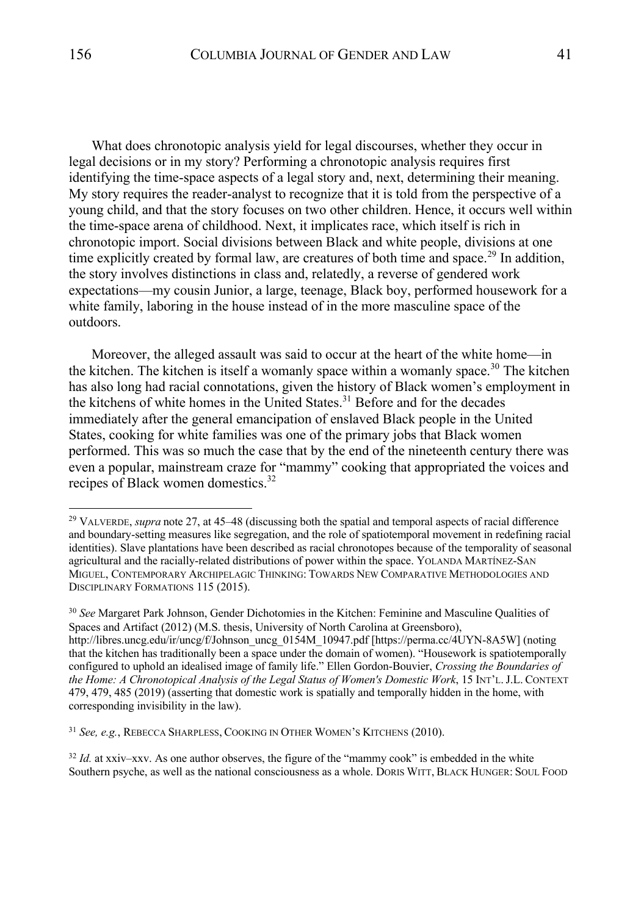What does chronotopic analysis yield for legal discourses, whether they occur in legal decisions or in my story? Performing a chronotopic analysis requires first identifying the time-space aspects of a legal story and, next, determining their meaning. My story requires the reader-analyst to recognize that it is told from the perspective of a young child, and that the story focuses on two other children. Hence, it occurs well within the time-space arena of childhood. Next, it implicates race, which itself is rich in chronotopic import. Social divisions between Black and white people, divisions at one time explicitly created by formal law, are creatures of both time and space.<sup>29</sup> In addition, the story involves distinctions in class and, relatedly, a reverse of gendered work expectations—my cousin Junior, a large, teenage, Black boy, performed housework for a white family, laboring in the house instead of in the more masculine space of the outdoors.

Moreover, the alleged assault was said to occur at the heart of the white home—in the kitchen. The kitchen is itself a womanly space within a womanly space.<sup>30</sup> The kitchen has also long had racial connotations, given the history of Black women's employment in the kitchens of white homes in the United States.<sup>31</sup> Before and for the decades immediately after the general emancipation of enslaved Black people in the United States, cooking for white families was one of the primary jobs that Black women performed. This was so much the case that by the end of the nineteenth century there was even a popular, mainstream craze for "mammy" cooking that appropriated the voices and recipes of Black women domestics.<sup>32</sup>

<sup>32</sup> *Id.* at xxiv–xxv. As one author observes, the figure of the "mammy cook" is embedded in the white Southern psyche, as well as the national consciousness as a whole. DORIS WITT, BLACK HUNGER: SOUL FOOD

<sup>&</sup>lt;sup>29</sup> VALVERDE, *supra* note 27, at 45–48 (discussing both the spatial and temporal aspects of racial difference and boundary-setting measures like segregation, and the role of spatiotemporal movement in redefining racial identities). Slave plantations have been described as racial chronotopes because of the temporality of seasonal agricultural and the racially-related distributions of power within the space. YOLANDA MARTÍNEZ-SAN MIGUEL, CONTEMPORARY ARCHIPELAGIC THINKING: TOWARDS NEW COMPARATIVE METHODOLOGIES AND DISCIPLINARY FORMATIONS 115 (2015).

<sup>30</sup> *See* Margaret Park Johnson, Gender Dichotomies in the Kitchen: Feminine and Masculine Qualities of Spaces and Artifact (2012) (M.S. thesis, University of North Carolina at Greensboro), http://libres.uncg.edu/ir/uncg/f/Johnson\_uncg\_0154M\_10947.pdf [https://perma.cc/4UYN-8A5W] (noting that the kitchen has traditionally been a space under the domain of women). "Housework is spatiotemporally configured to uphold an idealised image of family life." Ellen Gordon-Bouvier, *Crossing the Boundaries of the Home: A Chronotopical Analysis of the Legal Status of Women's Domestic Work*, 15 INT'L.J.L. CONTEXT 479, 479, 485 (2019) (asserting that domestic work is spatially and temporally hidden in the home, with corresponding invisibility in the law).

<sup>31</sup> *See, e.g.*, REBECCA SHARPLESS, COOKING IN OTHER WOMEN'S KITCHENS (2010).